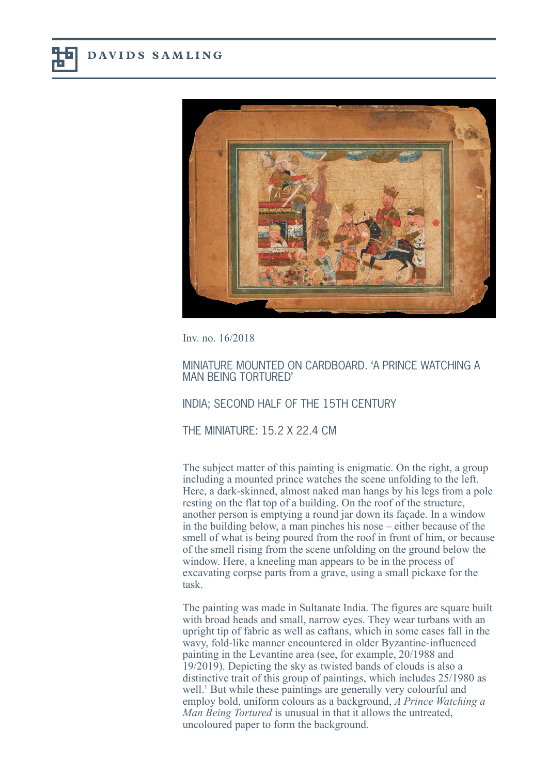

Inv. no. 16/2018

## MINIATURE MOUNTED ON CARDBOARD. 'A PRINCE WATCHING A MAN BEING TORTURED'

## INDIA; SECOND HALF OF THE 15TH CENTURY

THE MINIATURE:  $15.2$  X 22.4 CM

The subject matter of this painting is enigmatic. On the right, a group including a mounted prince watches the scene unfolding to the left. Here, a dark-skinned, almost naked man hangs by his legs from a pole resting on the flat top of a building. On the roof of the structure, another person is emptying a round jar down its façade. In a window in the building below, a man pinches his nose – either because of the smell of what is being poured from the roof in front of him, or because of the smell rising from the scene unfolding on the ground below the window. Here, a kneeling man appears to be in the process of excavating corpse parts from a grave, using a small pickaxe for the task.

The painting was made in Sultanate India. The figures are square built with broad heads and small, narrow eyes. They wear turbans with an upright tip of fabric as well as caftans, which in some cases fall in the wavy, fold-like manner encountered in older Byzantine-influenced painting in the Levantine area (see, for example, 20/1988 and 19/2019). Depicting the sky as twisted bands of clouds is also a distinctive trait of this group of paintings, which includes 25/1980 as well.<sup>1</sup> But while these paintings are generally very colourful and employ bold, uniform colours as a background, *A Prince Watching a Man Being Tortured* is unusual in that it allows the untreated, uncoloured paper to form the background.